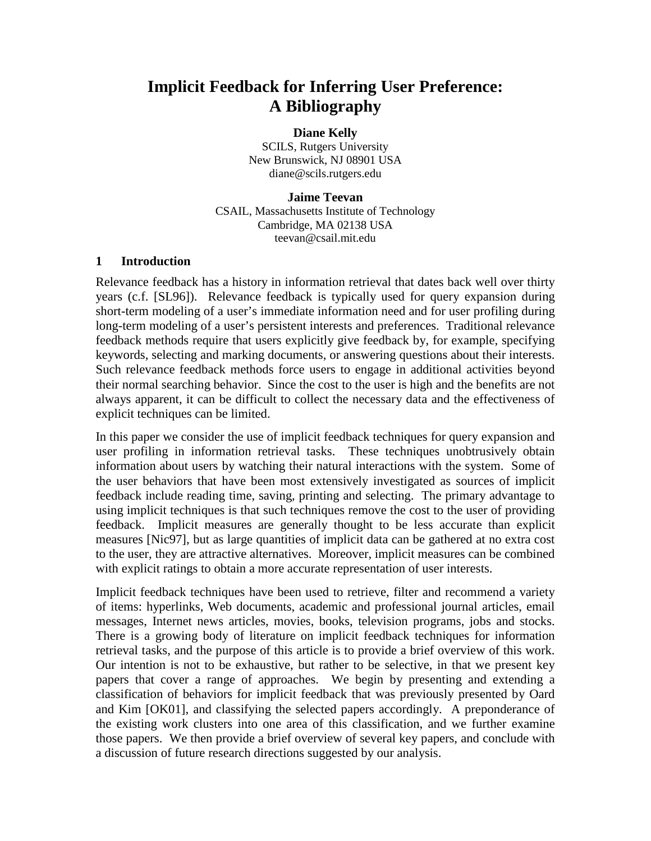# **Implicit Feedback for Inferring User Preference: A Bibliography**

#### **Diane Kelly**

SCILS, Rutgers University New Brunswick, NJ 08901 USA diane@scils.rutgers.edu

#### **Jaime Teevan** CSAIL, Massachusetts Institute of Technology Cambridge, MA 02138 USA teevan@csail.mit.edu

#### **1 Introduction**

Relevance feedback has a history in information retrieval that dates back well over thirty years (c.f. [SL96]). Relevance feedback is typically used for query expansion during short-term modeling of a user's immediate information need and for user profiling during long-term modeling of a user's persistent interests and preferences. Traditional relevance feedback methods require that users explicitly give feedback by, for example, specifying keywords, selecting and marking documents, or answering questions about their interests. Such relevance feedback methods force users to engage in additional activities beyond their normal searching behavior. Since the cost to the user is high and the benefits are not always apparent, it can be difficult to collect the necessary data and the effectiveness of explicit techniques can be limited.

In this paper we consider the use of implicit feedback techniques for query expansion and user profiling in information retrieval tasks. These techniques unobtrusively obtain information about users by watching their natural interactions with the system. Some of the user behaviors that have been most extensively investigated as sources of implicit feedback include reading time, saving, printing and selecting. The primary advantage to using implicit techniques is that such techniques remove the cost to the user of providing feedback. Implicit measures are generally thought to be less accurate than explicit measures [Nic97], but as large quantities of implicit data can be gathered at no extra cost to the user, they are attractive alternatives. Moreover, implicit measures can be combined with explicit ratings to obtain a more accurate representation of user interests.

Implicit feedback techniques have been used to retrieve, filter and recommend a variety of items: hyperlinks, Web documents, academic and professional journal articles, email messages, Internet news articles, movies, books, television programs, jobs and stocks. There is a growing body of literature on implicit feedback techniques for information retrieval tasks, and the purpose of this article is to provide a brief overview of this work. Our intention is not to be exhaustive, but rather to be selective, in that we present key papers that cover a range of approaches. We begin by presenting and extending a classification of behaviors for implicit feedback that was previously presented by Oard and Kim [OK01], and classifying the selected papers accordingly. A preponderance of the existing work clusters into one area of this classification, and we further examine those papers. We then provide a brief overview of several key papers, and conclude with a discussion of future research directions suggested by our analysis.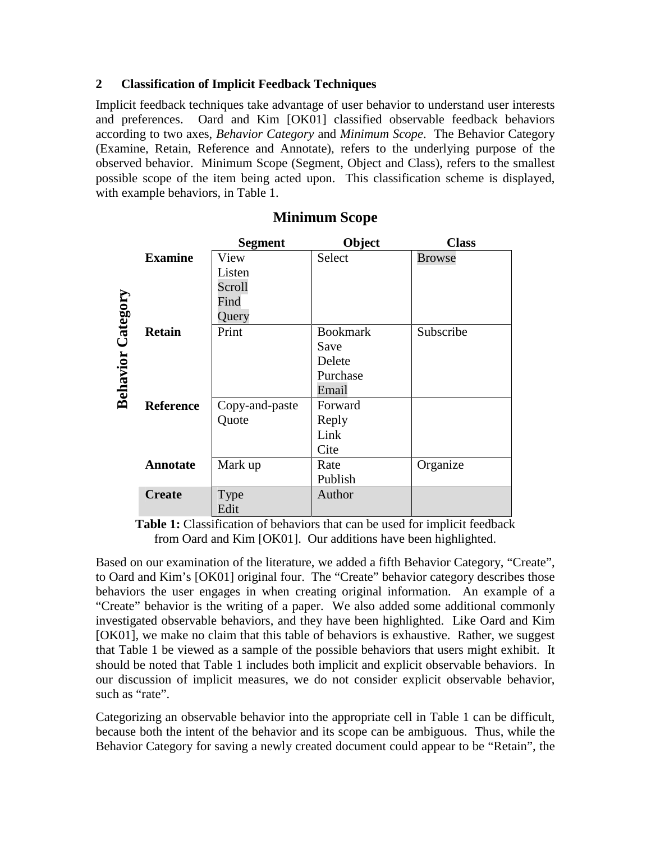## **2 Classification of Implicit Feedback Techniques**

Implicit feedback techniques take advantage of user behavior to understand user interests and preferences. Oard and Kim [OK01] classified observable feedback behaviors according to two axes, *Behavior Category* and *Minimum Scope*. The Behavior Category (Examine, Retain, Reference and Annotate), refers to the underlying purpose of the observed behavior. Minimum Scope (Segment, Object and Class), refers to the smallest possible scope of the item being acted upon. This classification scheme is displayed, with example behaviors, in Table 1.

|          |                  | <b>Segment</b> | Object          | <b>Class</b>  |
|----------|------------------|----------------|-----------------|---------------|
| Category | <b>Examine</b>   | View           | Select          | <b>Browse</b> |
|          |                  | Listen         |                 |               |
|          |                  | Scroll         |                 |               |
|          |                  | Find           |                 |               |
|          |                  | Query          |                 |               |
|          | <b>Retain</b>    | Print          | <b>Bookmark</b> | Subscribe     |
|          |                  |                | Save            |               |
|          |                  |                | Delete          |               |
|          |                  |                | Purchase        |               |
| Behavior |                  |                | Email           |               |
|          | <b>Reference</b> | Copy-and-paste | Forward         |               |
|          |                  | Quote          | Reply           |               |
|          |                  |                | Link            |               |
|          |                  |                | Cite            |               |
|          | <b>Annotate</b>  | Mark up        | Rate            | Organize      |
|          |                  |                | Publish         |               |
|          | <b>Create</b>    | <b>Type</b>    | Author          |               |
|          |                  | Edit           |                 |               |

## **Minimum Scope**

**Table 1:** Classification of behaviors that can be used for implicit feedback from Oard and Kim [OK01]. Our additions have been highlighted.

Based on our examination of the literature, we added a fifth Behavior Category, "Create", to Oard and Kim's [OK01] original four. The "Create" behavior category describes those behaviors the user engages in when creating original information. An example of a "Create" behavior is the writing of a paper. We also added some additional commonly investigated observable behaviors, and they have been highlighted. Like Oard and Kim [OK01], we make no claim that this table of behaviors is exhaustive. Rather, we suggest that Table 1 be viewed as a sample of the possible behaviors that users might exhibit. It should be noted that Table 1 includes both implicit and explicit observable behaviors. In our discussion of implicit measures, we do not consider explicit observable behavior, such as "rate".

Categorizing an observable behavior into the appropriate cell in Table 1 can be difficult, because both the intent of the behavior and its scope can be ambiguous. Thus, while the Behavior Category for saving a newly created document could appear to be "Retain", the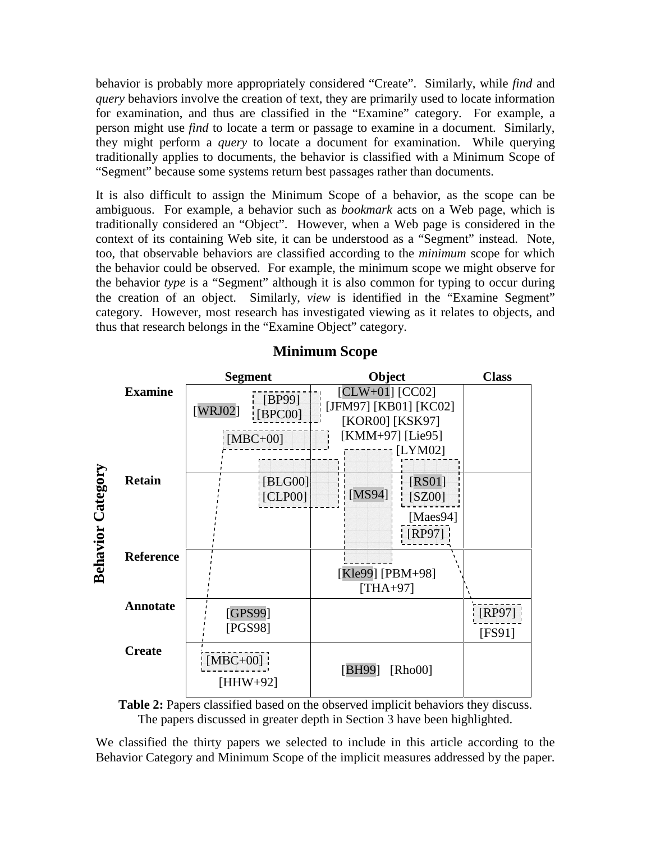behavior is probably more appropriately considered "Create". Similarly, while *find* and *query* behaviors involve the creation of text, they are primarily used to locate information for examination, and thus are classified in the "Examine" category. For example, a person might use *find* to locate a term or passage to examine in a document. Similarly, they might perform a *query* to locate a document for examination. While querying traditionally applies to documents, the behavior is classified with a Minimum Scope of "Segment" because some systems return best passages rather than documents.

It is also difficult to assign the Minimum Scope of a behavior, as the scope can be ambiguous. For example, a behavior such as *bookmark* acts on a Web page, which is traditionally considered an "Object". However, when a Web page is considered in the context of its containing Web site, it can be understood as a "Segment" instead. Note, too, that observable behaviors are classified according to the *minimum* scope for which the behavior could be observed. For example, the minimum scope we might observe for the behavior *type* is a "Segment" although it is also common for typing to occur during the creation of an object. Similarly, *view* is identified in the "Examine Segment" category. However, most research has investigated viewing as it relates to objects, and thus that research belongs in the "Examine Object" category.



## **Minimum Scope**

**Table 2:** Papers classified based on the observed implicit behaviors they discuss. The papers discussed in greater depth in Section 3 have been highlighted.

We classified the thirty papers we selected to include in this article according to the Behavior Category and Minimum Scope of the implicit measures addressed by the paper.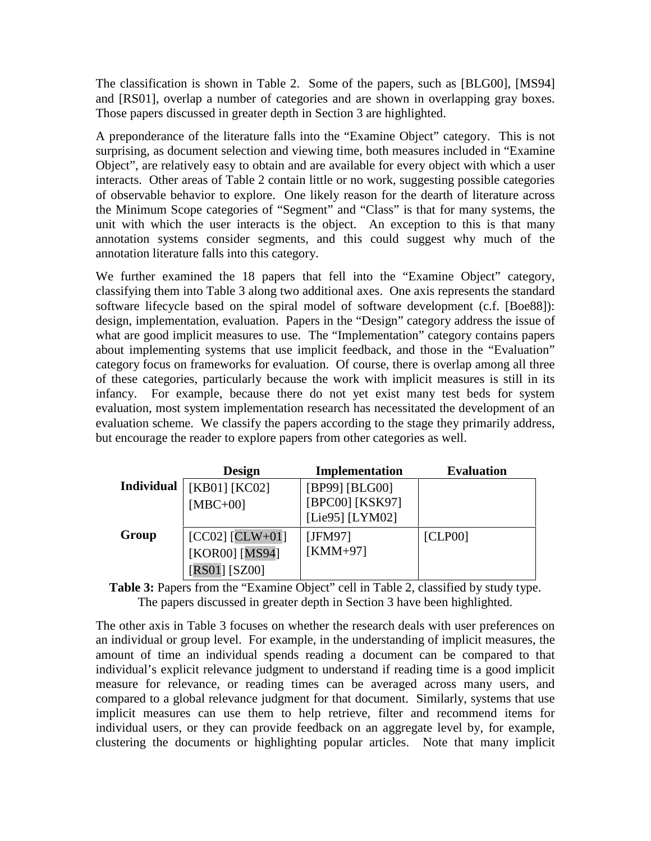The classification is shown in Table 2. Some of the papers, such as [BLG00], [MS94] and [RS01], overlap a number of categories and are shown in overlapping gray boxes. Those papers discussed in greater depth in Section 3 are highlighted.

A preponderance of the literature falls into the "Examine Object" category. This is not surprising, as document selection and viewing time, both measures included in "Examine Object", are relatively easy to obtain and are available for every object with which a user interacts. Other areas of Table 2 contain little or no work, suggesting possible categories of observable behavior to explore. One likely reason for the dearth of literature across the Minimum Scope categories of "Segment" and "Class" is that for many systems, the unit with which the user interacts is the object. An exception to this is that many annotation systems consider segments, and this could suggest why much of the annotation literature falls into this category.

We further examined the 18 papers that fell into the "Examine Object" category, classifying them into Table 3 along two additional axes. One axis represents the standard software lifecycle based on the spiral model of software development (c.f. [Boe88]): design, implementation, evaluation. Papers in the "Design" category address the issue of what are good implicit measures to use. The "Implementation" category contains papers about implementing systems that use implicit feedback, and those in the "Evaluation" category focus on frameworks for evaluation. Of course, there is overlap among all three of these categories, particularly because the work with implicit measures is still in its infancy. For example, because there do not yet exist many test beds for system evaluation, most system implementation research has necessitated the development of an evaluation scheme. We classify the papers according to the stage they primarily address, but encourage the reader to explore papers from other categories as well.

|                   | <b>Design</b>       | Implementation  | <b>Evaluation</b> |
|-------------------|---------------------|-----------------|-------------------|
| <b>Individual</b> | [KB01] [KC02]       | [BP99] [BLG00]  |                   |
|                   | $[MBC+00]$          | [BPC00] [KSK97] |                   |
|                   |                     | [Lie95] [LYM02] |                   |
| Group             | $[CC02]$ $[CLW+01]$ | [JFM97]         | [CLPO0]           |
|                   | [KOR00] [MS94]      | $KMM+97$        |                   |
|                   | $[RS01] [SZ00]$     |                 |                   |

**Table 3:** Papers from the "Examine Object" cell in Table 2, classified by study type. The papers discussed in greater depth in Section 3 have been highlighted.

The other axis in Table 3 focuses on whether the research deals with user preferences on an individual or group level. For example, in the understanding of implicit measures, the amount of time an individual spends reading a document can be compared to that individual's explicit relevance judgment to understand if reading time is a good implicit measure for relevance, or reading times can be averaged across many users, and compared to a global relevance judgment for that document. Similarly, systems that use implicit measures can use them to help retrieve, filter and recommend items for individual users, or they can provide feedback on an aggregate level by, for example, clustering the documents or highlighting popular articles. Note that many implicit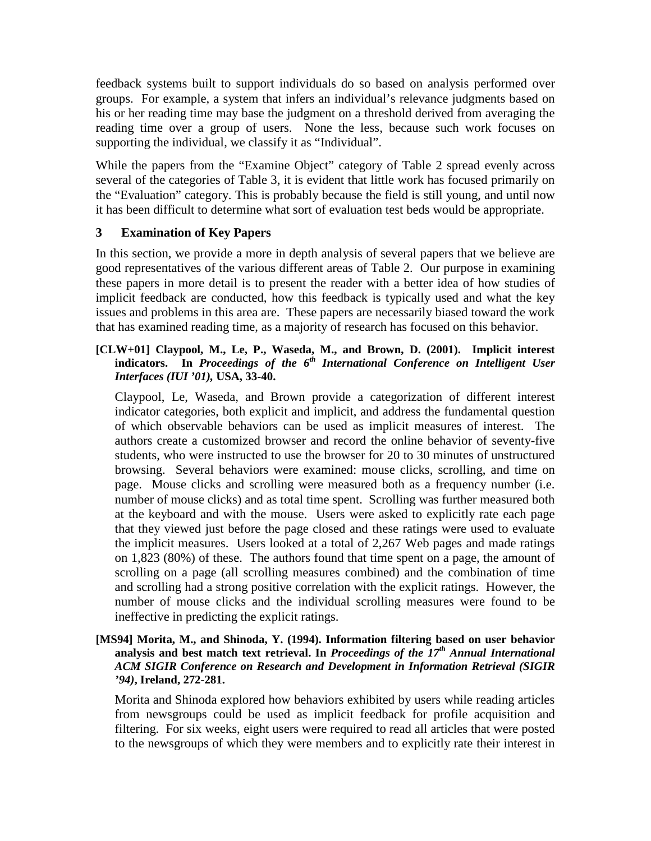feedback systems built to support individuals do so based on analysis performed over groups. For example, a system that infers an individual's relevance judgments based on his or her reading time may base the judgment on a threshold derived from averaging the reading time over a group of users. None the less, because such work focuses on supporting the individual, we classify it as "Individual".

While the papers from the "Examine Object" category of Table 2 spread evenly across several of the categories of Table 3, it is evident that little work has focused primarily on the "Evaluation" category. This is probably because the field is still young, and until now it has been difficult to determine what sort of evaluation test beds would be appropriate.

## **3 Examination of Key Papers**

In this section, we provide a more in depth analysis of several papers that we believe are good representatives of the various different areas of Table 2. Our purpose in examining these papers in more detail is to present the reader with a better idea of how studies of implicit feedback are conducted, how this feedback is typically used and what the key issues and problems in this area are. These papers are necessarily biased toward the work that has examined reading time, as a majority of research has focused on this behavior.

#### **[CLW+01] Claypool, M., Le, P., Waseda, M., and Brown, D. (2001). Implicit interest indicators. In** *Proceedings of the 6 th International Conference on Intelligent User Interfaces (IUI '01),* **USA, 33-40.**

Claypool, Le, Waseda, and Brown provide a categorization of different interest indicator categories, both explicit and implicit, and address the fundamental question of which observable behaviors can be used as implicit measures of interest. The authors create a customized browser and record the online behavior of seventy-five students, who were instructed to use the browser for 20 to 30 minutes of unstructured browsing. Several behaviors were examined: mouse clicks, scrolling, and time on page. Mouse clicks and scrolling were measured both as a frequency number (i.e. number of mouse clicks) and as total time spent. Scrolling was further measured both at the keyboard and with the mouse. Users were asked to explicitly rate each page that they viewed just before the page closed and these ratings were used to evaluate the implicit measures. Users looked at a total of 2,267 Web pages and made ratings on 1,823 (80%) of these. The authors found that time spent on a page, the amount of scrolling on a page (all scrolling measures combined) and the combination of time and scrolling had a strong positive correlation with the explicit ratings. However, the number of mouse clicks and the individual scrolling measures were found to be ineffective in predicting the explicit ratings.

#### **[MS94] Morita, M., and Shinoda, Y. (1994). Information filtering based on user behavior analysis and best match text retrieval. In** *Proceedings of the 17 th Annual International ACM SIGIR Conference on Research and Development in Information Retrieval (SIGIR '94)***, Ireland, 272-281.**

Morita and Shinoda explored how behaviors exhibited by users while reading articles from newsgroups could be used as implicit feedback for profile acquisition and filtering. For six weeks, eight users were required to read all articles that were posted to the newsgroups of which they were members and to explicitly rate their interest in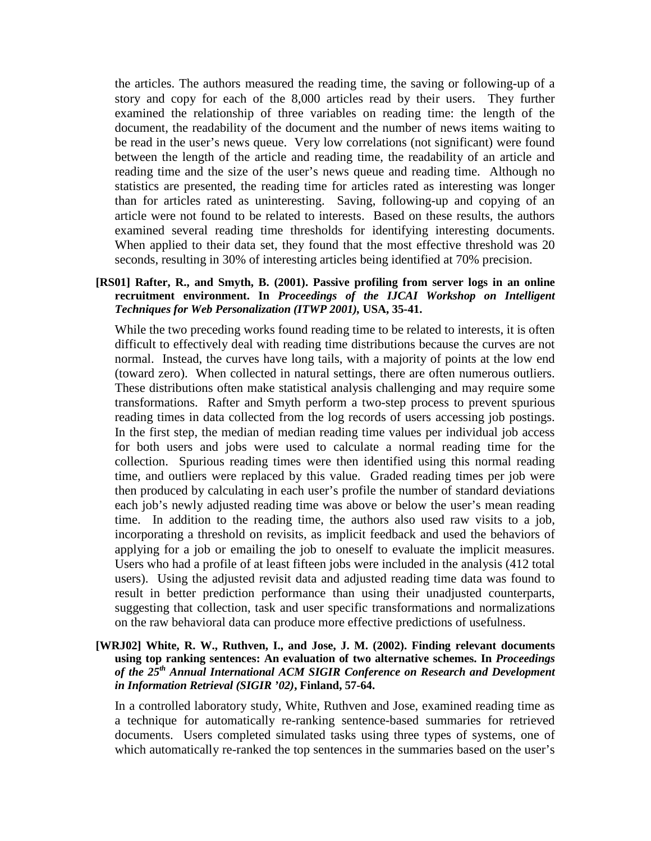the articles. The authors measured the reading time, the saving or following-up of a story and copy for each of the 8,000 articles read by their users. They further examined the relationship of three variables on reading time: the length of the document, the readability of the document and the number of news items waiting to be read in the user's news queue. Very low correlations (not significant) were found between the length of the article and reading time, the readability of an article and reading time and the size of the user's news queue and reading time. Although no statistics are presented, the reading time for articles rated as interesting was longer than for articles rated as uninteresting. Saving, following-up and copying of an article were not found to be related to interests. Based on these results, the authors examined several reading time thresholds for identifying interesting documents. When applied to their data set, they found that the most effective threshold was 20 seconds, resulting in 30% of interesting articles being identified at 70% precision.

#### **[RS01] Rafter, R., and Smyth, B. (2001). Passive profiling from server logs in an online recruitment environment. In** *Proceedings of the IJCAI Workshop on Intelligent Techniques for Web Personalization (ITWP 2001),* **USA, 35-41.**

While the two preceding works found reading time to be related to interests, it is often difficult to effectively deal with reading time distributions because the curves are not normal. Instead, the curves have long tails, with a majority of points at the low end (toward zero). When collected in natural settings, there are often numerous outliers. These distributions often make statistical analysis challenging and may require some transformations. Rafter and Smyth perform a two-step process to prevent spurious reading times in data collected from the log records of users accessing job postings. In the first step, the median of median reading time values per individual job access for both users and jobs were used to calculate a normal reading time for the collection. Spurious reading times were then identified using this normal reading time, and outliers were replaced by this value. Graded reading times per job were then produced by calculating in each user's profile the number of standard deviations each job's newly adjusted reading time was above or below the user's mean reading time. In addition to the reading time, the authors also used raw visits to a job, incorporating a threshold on revisits, as implicit feedback and used the behaviors of applying for a job or emailing the job to oneself to evaluate the implicit measures. Users who had a profile of at least fifteen jobs were included in the analysis (412 total users). Using the adjusted revisit data and adjusted reading time data was found to result in better prediction performance than using their unadjusted counterparts, suggesting that collection, task and user specific transformations and normalizations on the raw behavioral data can produce more effective predictions of usefulness.

#### **[WRJ02] White, R. W., Ruthven, I., and Jose, J. M. (2002). Finding relevant documents using top ranking sentences: An evaluation of two alternative schemes. In** *Proceedings of the 25 th Annual International ACM SIGIR Conference on Research and Development in Information Retrieval (SIGIR '02)***, Finland, 57-64.**

In a controlled laboratory study, White, Ruthven and Jose, examined reading time as a technique for automatically re-ranking sentence-based summaries for retrieved documents. Users completed simulated tasks using three types of systems, one of which automatically re-ranked the top sentences in the summaries based on the user's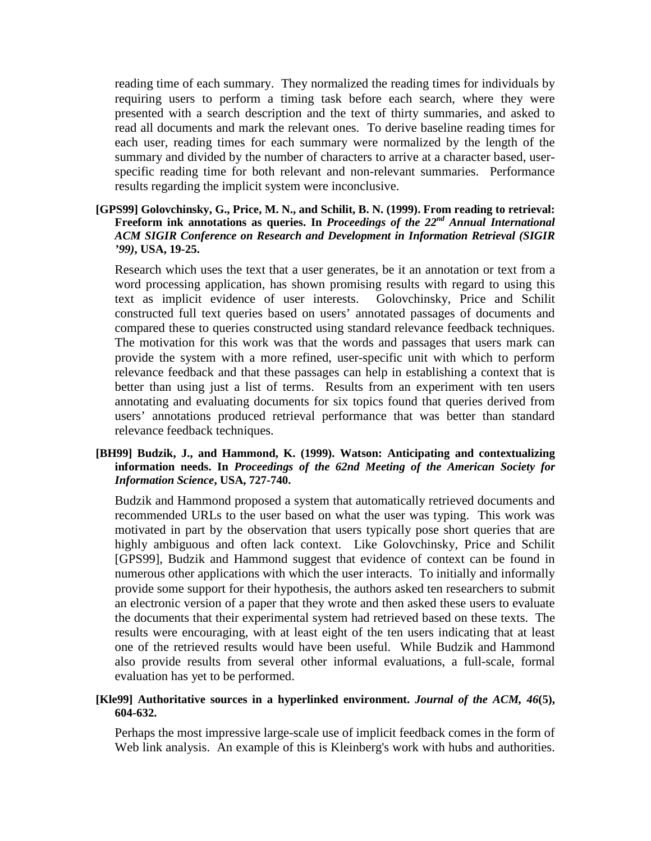reading time of each summary. They normalized the reading times for individuals by requiring users to perform a timing task before each search, where they were presented with a search description and the text of thirty summaries, and asked to read all documents and mark the relevant ones. To derive baseline reading times for each user, reading times for each summary were normalized by the length of the summary and divided by the number of characters to arrive at a character based, userspecific reading time for both relevant and non-relevant summaries. Performance results regarding the implicit system were inconclusive.

**[GPS99] Golovchinsky, G., Price, M. N., and Schilit, B. N. (1999). From reading to retrieval: Freeform ink annotations as queries. In** *Proceedings of the 22 nd Annual International ACM SIGIR Conference on Research and Development in Information Retrieval (SIGIR '99)***, USA, 19-25.**

Research which uses the text that a user generates, be it an annotation or text from a word processing application, has shown promising results with regard to using this text as implicit evidence of user interests. Golovchinsky, Price and Schilit constructed full text queries based on users' annotated passages of documents and compared these to queries constructed using standard relevance feedback techniques. The motivation for this work was that the words and passages that users mark can provide the system with a more refined, user-specific unit with which to perform relevance feedback and that these passages can help in establishing a context that is better than using just a list of terms. Results from an experiment with ten users annotating and evaluating documents for six topics found that queries derived from users' annotations produced retrieval performance that was better than standard relevance feedback techniques.

**[BH99] Budzik, J., and Hammond, K. (1999). Watson: Anticipating and contextualizing information needs. In** *Proceedings of the 62nd Meeting of the American Society for Information Science***, USA, 727-740.**

Budzik and Hammond proposed a system that automatically retrieved documents and recommended URLs to the user based on what the user was typing. This work was motivated in part by the observation that users typically pose short queries that are highly ambiguous and often lack context. Like Golovchinsky, Price and Schilit [GPS99], Budzik and Hammond suggest that evidence of context can be found in numerous other applications with which the user interacts. To initially and informally provide some support for their hypothesis, the authors asked ten researchers to submit an electronic version of a paper that they wrote and then asked these users to evaluate the documents that their experimental system had retrieved based on these texts. The results were encouraging, with at least eight of the ten users indicating that at least one of the retrieved results would have been useful. While Budzik and Hammond also provide results from several other informal evaluations, a full-scale, formal evaluation has yet to be performed.

#### **[Kle99] Authoritative sources in a hyperlinked environment.** *Journal of the ACM, 46***(5), 604-632.**

Perhaps the most impressive large-scale use of implicit feedback comes in the form of Web link analysis. An example of this is Kleinberg's work with hubs and authorities.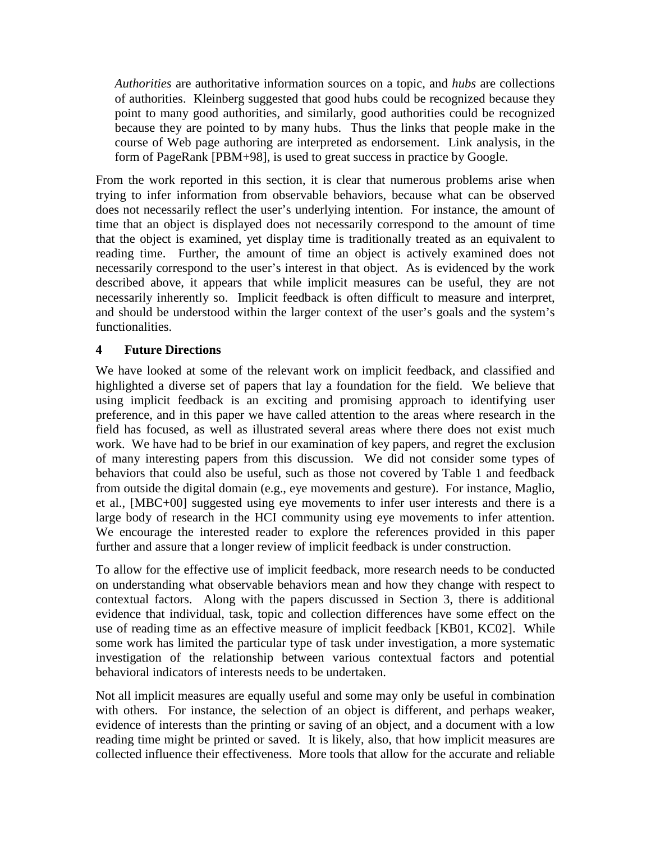*Authorities* are authoritative information sources on a topic, and *hubs* are collections of authorities. Kleinberg suggested that good hubs could be recognized because they point to many good authorities, and similarly, good authorities could be recognized because they are pointed to by many hubs. Thus the links that people make in the course of Web page authoring are interpreted as endorsement. Link analysis, in the form of PageRank [PBM+98], is used to great success in practice by Google.

From the work reported in this section, it is clear that numerous problems arise when trying to infer information from observable behaviors, because what can be observed does not necessarily reflect the user's underlying intention. For instance, the amount of time that an object is displayed does not necessarily correspond to the amount of time that the object is examined, yet display time is traditionally treated as an equivalent to reading time. Further, the amount of time an object is actively examined does not necessarily correspond to the user's interest in that object. As is evidenced by the work described above, it appears that while implicit measures can be useful, they are not necessarily inherently so. Implicit feedback is often difficult to measure and interpret, and should be understood within the larger context of the user's goals and the system's functionalities.

## **4 Future Directions**

We have looked at some of the relevant work on implicit feedback, and classified and highlighted a diverse set of papers that lay a foundation for the field. We believe that using implicit feedback is an exciting and promising approach to identifying user preference, and in this paper we have called attention to the areas where research in the field has focused, as well as illustrated several areas where there does not exist much work. We have had to be brief in our examination of key papers, and regret the exclusion of many interesting papers from this discussion. We did not consider some types of behaviors that could also be useful, such as those not covered by Table 1 and feedback from outside the digital domain (e.g., eye movements and gesture). For instance, Maglio, et al., [MBC+00] suggested using eye movements to infer user interests and there is a large body of research in the HCI community using eye movements to infer attention. We encourage the interested reader to explore the references provided in this paper further and assure that a longer review of implicit feedback is under construction.

To allow for the effective use of implicit feedback, more research needs to be conducted on understanding what observable behaviors mean and how they change with respect to contextual factors. Along with the papers discussed in Section 3, there is additional evidence that individual, task, topic and collection differences have some effect on the use of reading time as an effective measure of implicit feedback [KB01, KC02]. While some work has limited the particular type of task under investigation, a more systematic investigation of the relationship between various contextual factors and potential behavioral indicators of interests needs to be undertaken.

Not all implicit measures are equally useful and some may only be useful in combination with others. For instance, the selection of an object is different, and perhaps weaker, evidence of interests than the printing or saving of an object, and a document with a low reading time might be printed or saved. It is likely, also, that how implicit measures are collected influence their effectiveness. More tools that allow for the accurate and reliable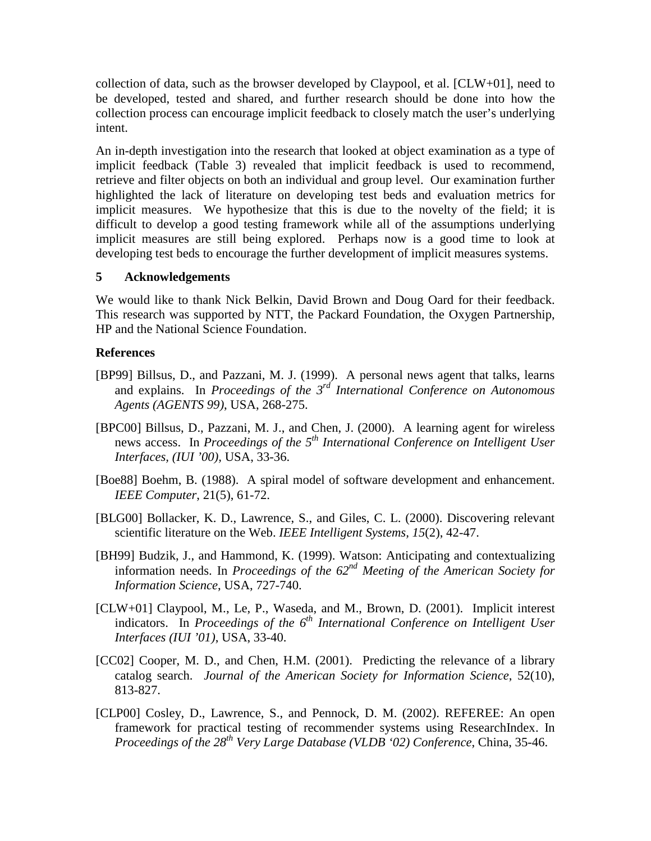collection of data, such as the browser developed by Claypool, et al.  $[CLW+01]$ , need to be developed, tested and shared, and further research should be done into how the collection process can encourage implicit feedback to closely match the user's underlying intent.

An in-depth investigation into the research that looked at object examination as a type of implicit feedback (Table 3) revealed that implicit feedback is used to recommend, retrieve and filter objects on both an individual and group level. Our examination further highlighted the lack of literature on developing test beds and evaluation metrics for implicit measures. We hypothesize that this is due to the novelty of the field; it is difficult to develop a good testing framework while all of the assumptions underlying implicit measures are still being explored. Perhaps now is a good time to look at developing test beds to encourage the further development of implicit measures systems.

#### **5 Acknowledgements**

We would like to thank Nick Belkin, David Brown and Doug Oard for their feedback. This research was supported by NTT, the Packard Foundation, the Oxygen Partnership, HP and the National Science Foundation.

## **References**

- [BP99] Billsus, D., and Pazzani, M. J. (1999). A personal news agent that talks, learns and explains. In *Proceedings of the 3 rd International Conference on Autonomous Agents (AGENTS 99)*, USA, 268-275.
- [BPC00] Billsus, D., Pazzani, M. J., and Chen, J. (2000). A learning agent for wireless news access. In *Proceedings of the 5 th International Conference on Intelligent User Interfaces, (IUI '00),* USA, 33-36.
- [Boe88] Boehm, B. (1988). A spiral model of software development and enhancement. *IEEE Computer*, 21(5), 61-72.
- [BLG00] Bollacker, K. D., Lawrence, S., and Giles, C. L. (2000). Discovering relevant scientific literature on the Web. *IEEE Intelligent Systems, 15*(2), 42-47.
- [BH99] Budzik, J., and Hammond, K. (1999). Watson: Anticipating and contextualizing information needs. In *Proceedings of the 62 nd Meeting of the American Society for Information Science*, USA, 727-740.
- [CLW+01] Claypool, M., Le, P., Waseda, and M., Brown, D. (2001). Implicit interest indicators. In *Proceedings of the 6 th International Conference on Intelligent User Interfaces (IUI '01)*, USA, 33-40.
- [CC02] Cooper, M. D., and Chen, H.M. (2001). Predicting the relevance of a library catalog search. *Journal of the American Society for Information Science*, 52(10), 813-827.
- [CLP00] Cosley, D., Lawrence, S., and Pennock, D. M. (2002). REFEREE: An open framework for practical testing of recommender systems using ResearchIndex. In *Proceedings of the 28 th Very Large Database (VLDB '02) Conference*, China, 35-46.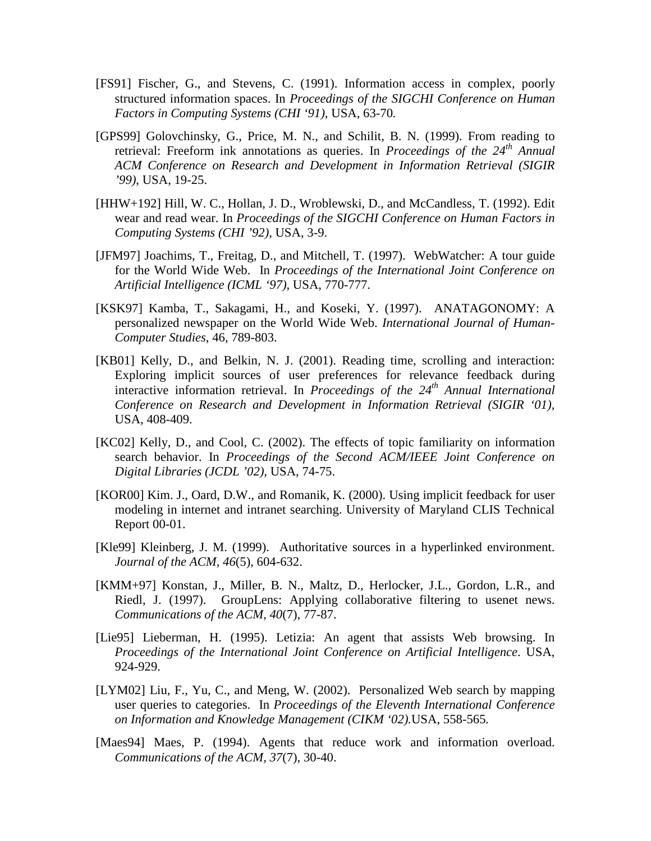- [FS91] Fischer, G., and Stevens, C. (1991). Information access in complex, poorly structured information spaces. In *Proceedings of the SIGCHI Conference on Human Factors in Computing Systems (CHI '91),* USA, 63-70*.*
- [GPS99] Golovchinsky, G., Price, M. N., and Schilit, B. N. (1999). From reading to retrieval: Freeform ink annotations as queries. In *Proceedings of the 24 th Annual ACM Conference on Research and Development in Information Retrieval (SIGIR '99)*, USA, 19-25.
- [HHW+192] Hill, W. C., Hollan, J. D., Wroblewski, D., and McCandless, T. (1992). Edit wear and read wear. In *Proceedings of the SIGCHI Conference on Human Factors in Computing Systems (CHI '92)*, USA, 3-9.
- [JFM97] Joachims, T., Freitag, D., and Mitchell, T. (1997). WebWatcher: A tour guide for the World Wide Web. In *Proceedings of the International Joint Conference on Artificial Intelligence (ICML '97)*, USA, 770-777.
- [KSK97] Kamba, T., Sakagami, H., and Koseki, Y. (1997). ANATAGONOMY: A personalized newspaper on the World Wide Web. *International Journal of Human-Computer Studies*, 46, 789-803.
- [KB01] Kelly, D., and Belkin, N. J. (2001). Reading time, scrolling and interaction: Exploring implicit sources of user preferences for relevance feedback during interactive information retrieval. In *Proceedings of the 24 th Annual International Conference on Research and Development in Information Retrieval (SIGIR '01),* USA, 408-409.
- [KC02] Kelly, D., and Cool, C. (2002). The effects of topic familiarity on information search behavior. In *Proceedings of the Second ACM/IEEE Joint Conference on Digital Libraries (JCDL '02),* USA, 74-75.
- [KOR00] Kim. J., Oard, D.W., and Romanik, K. (2000). Using implicit feedback for user modeling in internet and intranet searching. University of Maryland CLIS Technical Report 00-01.
- [Kle99] Kleinberg, J. M. (1999). Authoritative sources in a hyperlinked environment. *Journal of the ACM, 46*(5), 604-632.
- [KMM+97] Konstan, J., Miller, B. N., Maltz, D., Herlocker, J.L., Gordon, L.R., and Riedl, J. (1997). GroupLens: Applying collaborative filtering to usenet news. *Communications of the ACM, 40*(7), 77-87.
- [Lie95] Lieberman, H. (1995). Letizia: An agent that assists Web browsing. In *Proceedings of the International Joint Conference on Artificial Intelligence*. USA, 924-929.
- [LYM02] Liu, F., Yu, C., and Meng, W. (2002). Personalized Web search by mapping user queries to categories. In *Proceedings of the Eleventh International Conference on Information and Knowledge Management (CIKM '02).*USA, 558-565*.*
- [Maes94] Maes, P. (1994). Agents that reduce work and information overload. *Communications of the ACM, 37*(7), 30-40.